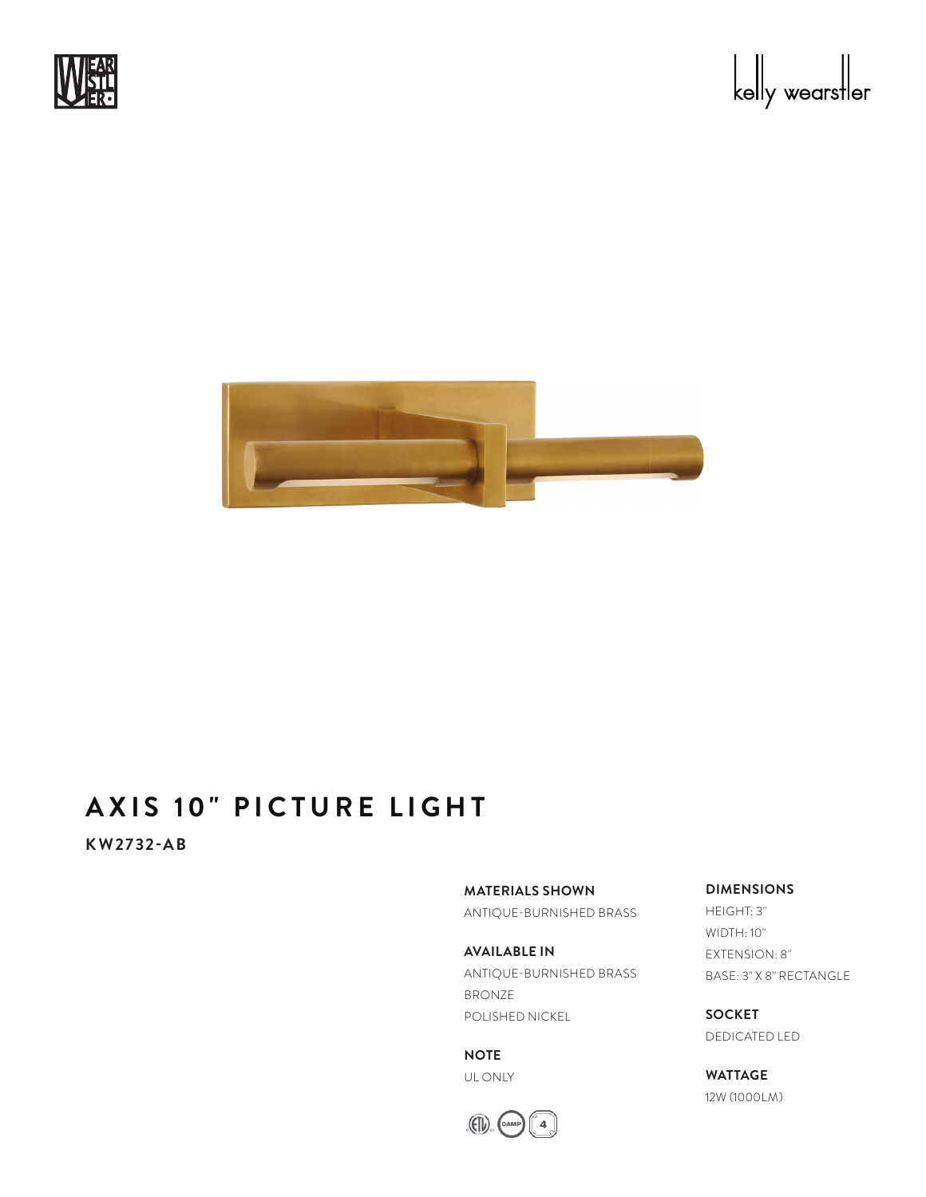





# **AXIS 10" PICTURE LIGHT**

**KW2732-AB**

**MATERIALS SHOWN**

ANTIQUE-BURNISHED BRASS

**AVAILABLE IN** ANTIQUE-BURNISHED BRASS BRONZE POLISHED NICKEL

**NOTE** UL ONLY



#### **DIMENSIONS**

HEIGHT: 3" WIDTH: 10" EXTENSION: 8" BASE: 3" X 8" RECTANGLE

**SOCKET** DEDICATED LED

**WATTAGE** 12W (1000LM)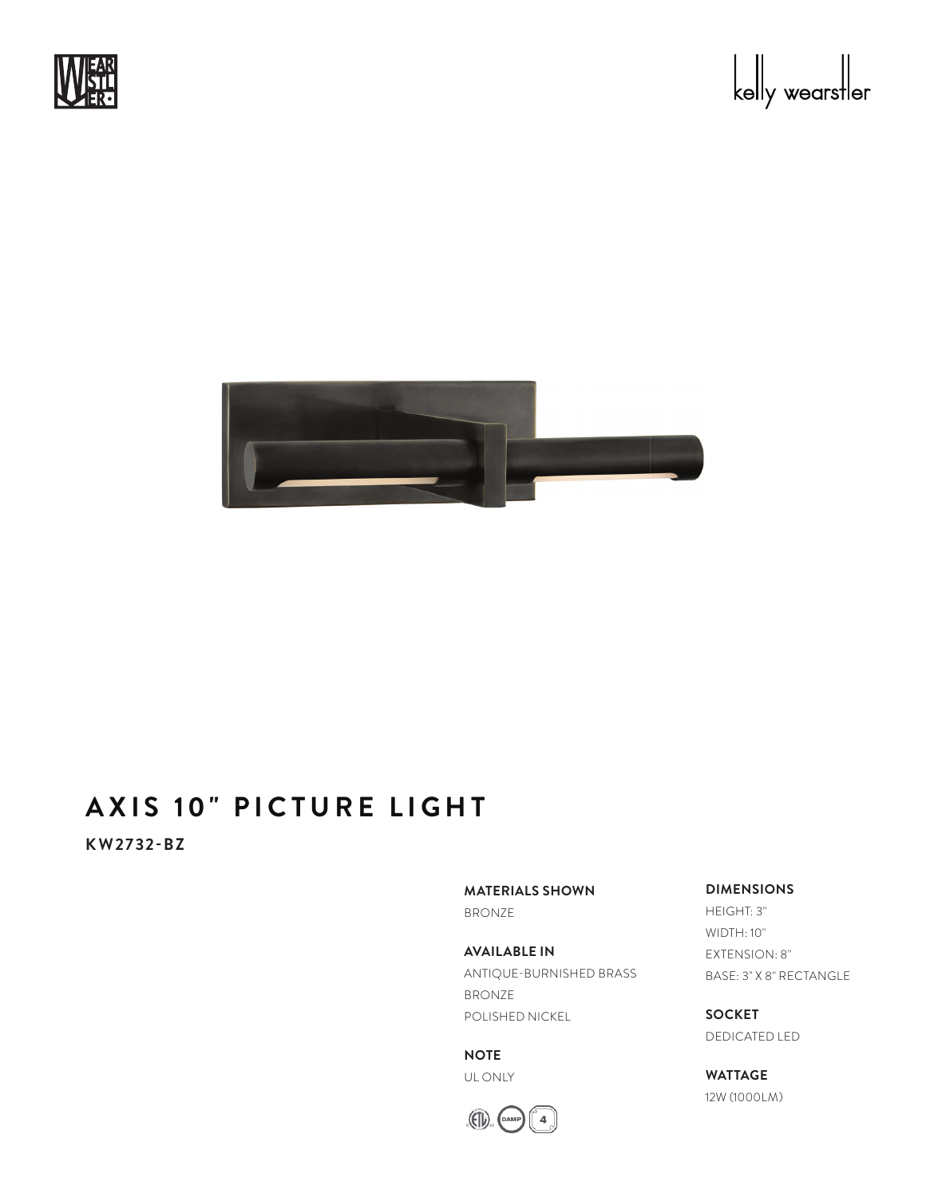





# **AXIS 10" PICTURE LIGHT**

**KW2732-BZ**

**MATERIALS SHOWN**

BRONZE

**AVAILABLE IN** ANTIQUE-BURNISHED BRASS BRONZE POLISHED NICKEL

**NOTE** UL ONLY



### **DIMENSIONS**

HEIGHT: 3" WIDTH: 10" EXTENSION: 8" BASE: 3" X 8" RECTANGLE

**SOCKET** DEDICATED LED

**WATTAGE** 12W (1000LM)